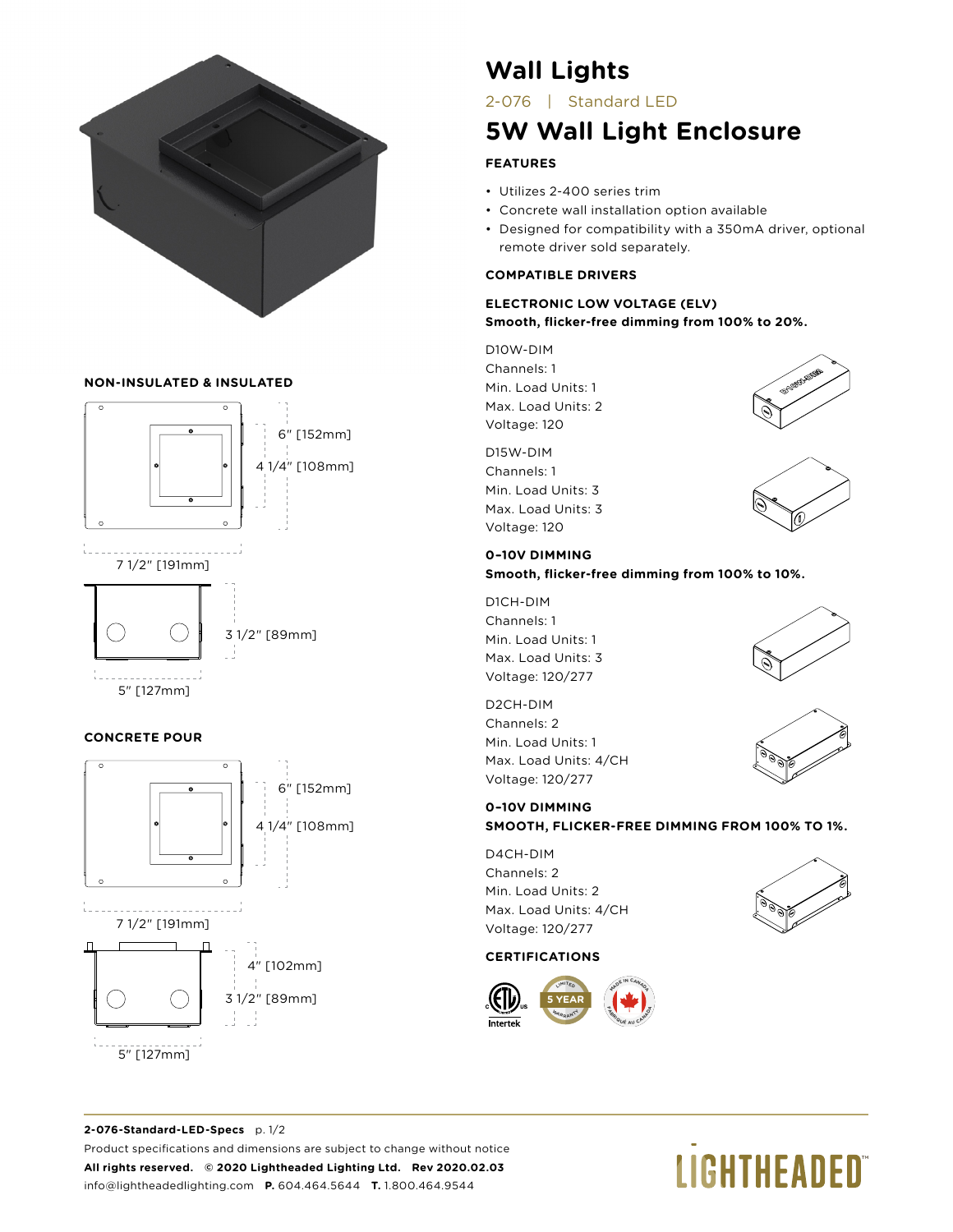

### **NON-INSULATED & INSULATED**



### **CONCRETE POUR**



## **Wall Lights**

2-076 | Standard LED

## **5W Wall Light Enclosure**

### **FEATURES**

- Utilizes 2-400 series trim
- Concrete wall installation option available
- Designed for compatibility with a 350mA driver, optional remote driver sold separately.

### **COMPATIBLE DRIVERS**

### **ELECTRONIC LOW VOLTAGE (ELV) Smooth, flicker-free dimming from 100% to 20%.**

D10W-DIM Channels: 1 Min. Load Units: 1 Max. Load Units: 2 Voltage: 120

D15W-DIM Channels: 1 Min. Load Units: 3 Max. Load Units: 3 Voltage: 120





### **0–10V DIMMING**

**Smooth, flicker-free dimming from 100% to 10%.**

D1CH-DIM Channels: 1 Min. Load Units: 1 Max. Load Units: 3 Voltage: 120/277

D2CH-DIM Channels: 2 Min. Load Units: 1 Max. Load Units: 4/CH Voltage: 120/277

### **0–10V DIMMING**

**SMOOTH, FLICKER-FREE DIMMING FROM 100% TO 1%.**

D4CH-DIM Channels: 2 Min. Load Units: 2 Max. Load Units: 4/CH Voltage: 120/277

### **CERTIFICATIONS**





### **2-076-Standard-LED-Specs** p. 1/2 Product specifications and dimensions are subject to change without notice **All rights reserved. © 2020 Lightheaded Lighting Ltd. Rev 2020.02.03** info@lightheadedlighting.com **P.** 604.464.5644 **T.** 1.800.464.9544

# **LIGHTHEADED**®